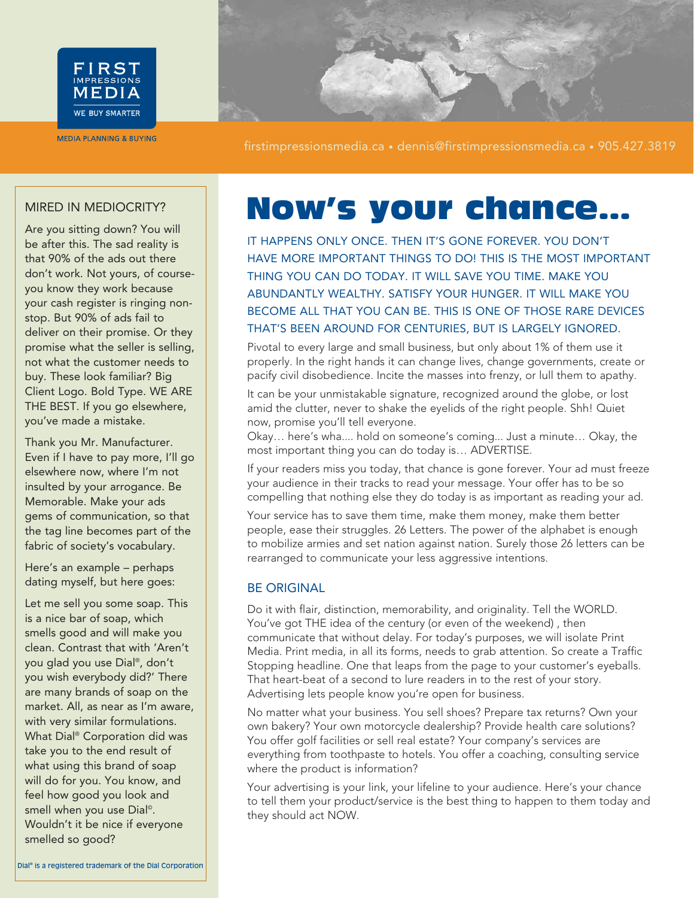

**MEDIA PLANNING & BUYING** 



Are you sitting down? You will be after this. The sad reality is that 90% of the ads out there don't work. Not yours, of courseyou know they work because your cash register is ringing nonstop. But 90% of ads fail to deliver on their promise. Or they promise what the seller is selling, not what the customer needs to buy. These look familiar? Big Client Logo. Bold Type. WE ARE THE BEST. If you go elsewhere, you've made a mistake.

Thank you Mr. Manufacturer. Even if I have to pay more, I'll go elsewhere now, where I'm not insulted by your arrogance. Be Memorable. Make your ads gems of communication, so that the tag line becomes part of the fabric of society's vocabulary.

Here's an example – perhaps dating myself, but here goes:

Let me sell you some soap. This is a nice bar of soap, which smells good and will make you clean. Contrast that with 'Aren't you glad you use Dial®, don't you wish everybody did?' There are many brands of soap on the market. All, as near as I'm aware, with very similar formulations. What Dial® Corporation did was take you to the end result of what using this brand of soap will do for you. You know, and feel how good you look and smell when you use Dial<sup>®</sup>. Wouldn't it be nice if everyone smelled so good?

# MIRED IN MEDIOCRITY? **Now's your chance...**

IT HAPPENS ONLY ONCE. THEN IT'S GONE FOREVER. YOU DON'T HAVE MORE IMPORTANT THINGS TO DO! THIS IS THE MOST IMPORTANT THING YOU CAN DO TODAY. IT WILL SAVE YOU TIME. MAKE YOU ABUNDANTLY WEALTHY. SATISFY YOUR HUNGER. IT WILL MAKE YOU BECOME ALL THAT YOU CAN BE. THIS IS ONE OF THOSE RARE DEVICES THAT'S BEEN AROUND FOR CENTURIES, BUT IS LARGELY IGNORED.

Pivotal to every large and small business, but only about 1% of them use it properly. In the right hands it can change lives, change governments, create or pacify civil disobedience. Incite the masses into frenzy, or lull them to apathy.

It can be your unmistakable signature, recognized around the globe, or lost amid the clutter, never to shake the eyelids of the right people. Shh! Quiet now, promise you'll tell everyone.

Okay… here's wha.... hold on someone's coming... Just a minute… Okay, the most important thing you can do today is… ADVERTISE.

If your readers miss you today, that chance is gone forever. Your ad must freeze your audience in their tracks to read your message. Your offer has to be so compelling that nothing else they do today is as important as reading your ad.

Your service has to save them time, make them money, make them better people, ease their struggles. 26 Letters. The power of the alphabet is enough to mobilize armies and set nation against nation. Surely those 26 letters can be rearranged to communicate your less aggressive intentions.

#### BE ORIGINAL

Do it with flair, distinction, memorability, and originality. Tell the WORLD. You've got THE idea of the century (or even of the weekend) , then communicate that without delay. For today's purposes, we will isolate Print Media. Print media, in all its forms, needs to grab attention. So create a Traffic Stopping headline. One that leaps from the page to your customer's eyeballs. That heart-beat of a second to lure readers in to the rest of your story. Advertising lets people know you're open for business.

No matter what your business. You sell shoes? Prepare tax returns? Own your own bakery? Your own motorcycle dealership? Provide health care solutions? You offer golf facilities or sell real estate? Your company's services are everything from toothpaste to hotels. You offer a coaching, consulting service where the product is information?

Your advertising is your link, your lifeline to your audience. Here's your chance to tell them your product/service is the best thing to happen to them today and they should act NOW.